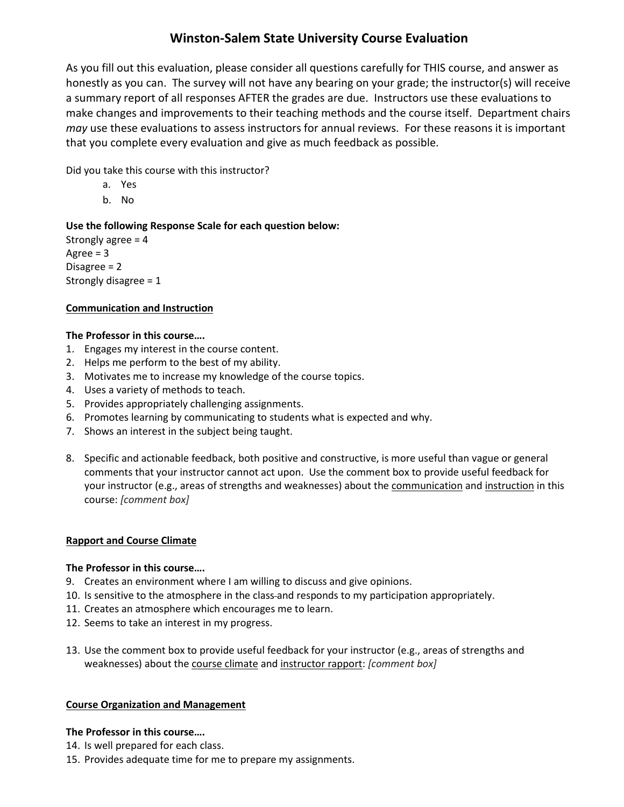# **Winston-Salem State University Course Evaluation**

As you fill out this evaluation, please consider all questions carefully for THIS course, and answer as honestly as you can. The survey will not have any bearing on your grade; the instructor(s) will receive a summary report of all responses AFTER the grades are due. Instructors use these evaluations to make changes and improvements to their teaching methods and the course itself. Department chairs *may* use these evaluations to assess instructors for annual reviews. For these reasons it is important that you complete every evaluation and give as much feedback as possible.

Did you take this course with this instructor?

- a. Yes
- b. No

# **Use the following Response Scale for each question below:**

Strongly agree  $= 4$ Agree  $= 3$ Disagree = 2 Strongly disagree = 1

# **Communication and Instruction**

# **The Professor in this course….**

- 1. Engages my interest in the course content.
- 2. Helps me perform to the best of my ability.
- 3. Motivates me to increase my knowledge of the course topics.
- 4. Uses a variety of methods to teach.
- 5. Provides appropriately challenging assignments.
- 6. Promotes learning by communicating to students what is expected and why.
- 7. Shows an interest in the subject being taught.
- 8. Specific and actionable feedback, both positive and constructive, is more useful than vague or general comments that your instructor cannot act upon. Use the comment box to provide useful feedback for your instructor (e.g., areas of strengths and weaknesses) about the communication and instruction in this course: *[comment box]*

## **Rapport and Course Climate**

## **The Professor in this course….**

- 9. Creates an environment where I am willing to discuss and give opinions.
- 10. Is sensitive to the atmosphere in the class and responds to my participation appropriately.
- 11. Creates an atmosphere which encourages me to learn.
- 12. Seems to take an interest in my progress.
- 13. Use the comment box to provide useful feedback for your instructor (e.g., areas of strengths and weaknesses) about the course climate and instructor rapport: *[comment box]*

## **Course Organization and Management**

## **The Professor in this course….**

- 14. Is well prepared for each class.
- 15. Provides adequate time for me to prepare my assignments.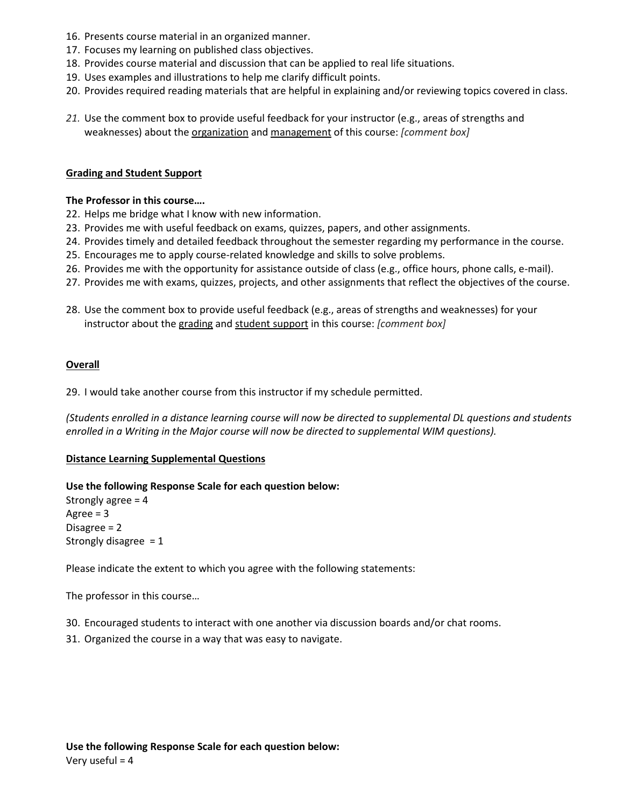- 16. Presents course material in an organized manner.
- 17. Focuses my learning on published class objectives.
- 18. Provides course material and discussion that can be applied to real life situations.
- 19. Uses examples and illustrations to help me clarify difficult points.
- 20. Provides required reading materials that are helpful in explaining and/or reviewing topics covered in class.
- *21.* Use the comment box to provide useful feedback for your instructor (e.g., areas of strengths and weaknesses) about the organization and management of this course: *[comment box]*

### **Grading and Student Support**

#### **The Professor in this course….**

- 22. Helps me bridge what I know with new information.
- 23. Provides me with useful feedback on exams, quizzes, papers, and other assignments.
- 24. Provides timely and detailed feedback throughout the semester regarding my performance in the course.
- 25. Encourages me to apply course-related knowledge and skills to solve problems.
- 26. Provides me with the opportunity for assistance outside of class (e.g., office hours, phone calls, e-mail).
- 27. Provides me with exams, quizzes, projects, and other assignments that reflect the objectives of the course.
- 28. Use the comment box to provide useful feedback (e.g., areas of strengths and weaknesses) for your instructor about the grading and student support in this course: *[comment box]*

#### **Overall**

29. I would take another course from this instructor if my schedule permitted.

*(Students enrolled in a distance learning course will now be directed to supplemental DL questions and students enrolled in a Writing in the Major course will now be directed to supplemental WIM questions).* 

#### **Distance Learning Supplemental Questions**

#### **Use the following Response Scale for each question below:**

Strongly agree  $= 4$ Agree  $= 3$ Disagree = 2 Strongly disagree  $= 1$ 

Please indicate the extent to which you agree with the following statements:

The professor in this course…

- 30. Encouraged students to interact with one another via discussion boards and/or chat rooms.
- 31. Organized the course in a way that was easy to navigate.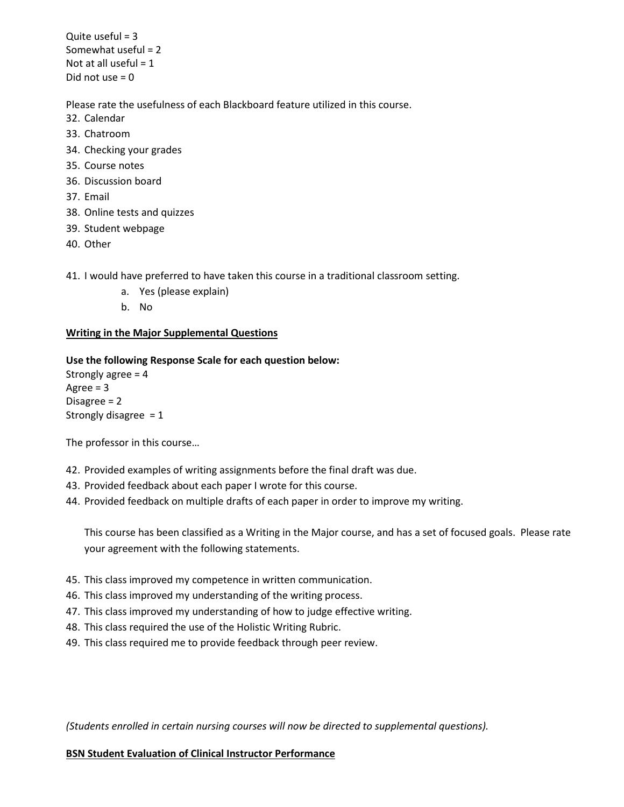Quite useful  $= 3$ Somewhat useful = 2 Not at all useful  $= 1$ Did not use  $= 0$ 

Please rate the usefulness of each Blackboard feature utilized in this course.

- 32. Calendar
- 33. Chatroom
- 34. Checking your grades
- 35. Course notes
- 36. Discussion board
- 37. Email
- 38. Online tests and quizzes
- 39. Student webpage
- 40. Other
- 41. I would have preferred to have taken this course in a traditional classroom setting.
	- a. Yes (please explain)
	- b. No

# **Writing in the Major Supplemental Questions**

## **Use the following Response Scale for each question below:**

Strongly agree = 4 Agree  $= 3$ Disagree = 2 Strongly disagree  $= 1$ 

The professor in this course…

- 42. Provided examples of writing assignments before the final draft was due.
- 43. Provided feedback about each paper I wrote for this course.
- 44. Provided feedback on multiple drafts of each paper in order to improve my writing.

This course has been classified as a Writing in the Major course, and has a set of focused goals. Please rate your agreement with the following statements.

- 45. This class improved my competence in written communication.
- 46. This class improved my understanding of the writing process.
- 47. This class improved my understanding of how to judge effective writing.
- 48. This class required the use of the Holistic Writing Rubric.
- 49. This class required me to provide feedback through peer review.

*(Students enrolled in certain nursing courses will now be directed to supplemental questions).* 

## **BSN Student Evaluation of Clinical Instructor Performance**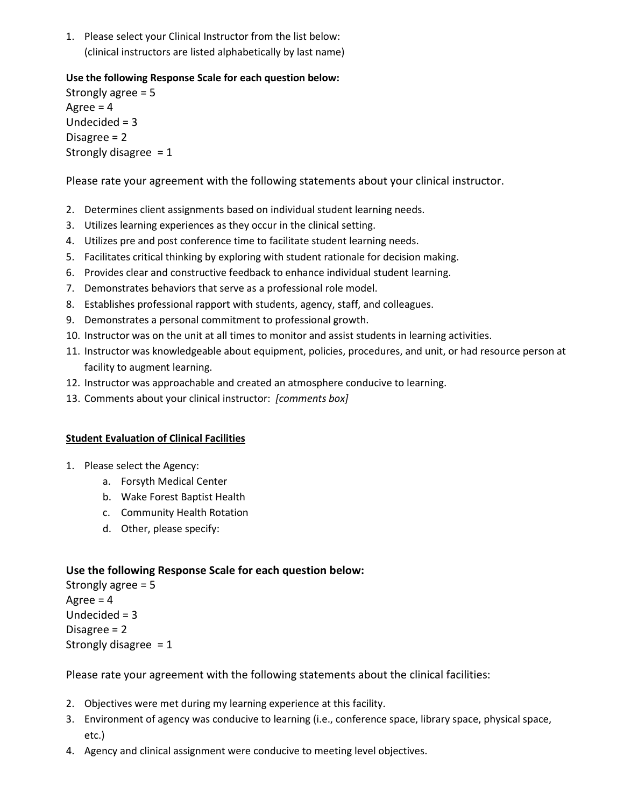1. Please select your Clinical Instructor from the list below: (clinical instructors are listed alphabetically by last name)

# **Use the following Response Scale for each question below:**

Strongly agree = 5 Agree  $= 4$ Undecided  $= 3$ Disagree = 2 Strongly disagree  $= 1$ 

Please rate your agreement with the following statements about your clinical instructor.

- 2. Determines client assignments based on individual student learning needs.
- 3. Utilizes learning experiences as they occur in the clinical setting.
- 4. Utilizes pre and post conference time to facilitate student learning needs.
- 5. Facilitates critical thinking by exploring with student rationale for decision making.
- 6. Provides clear and constructive feedback to enhance individual student learning.
- 7. Demonstrates behaviors that serve as a professional role model.
- 8. Establishes professional rapport with students, agency, staff, and colleagues.
- 9. Demonstrates a personal commitment to professional growth.
- 10. Instructor was on the unit at all times to monitor and assist students in learning activities.
- 11. Instructor was knowledgeable about equipment, policies, procedures, and unit, or had resource person at facility to augment learning.
- 12. Instructor was approachable and created an atmosphere conducive to learning.
- 13. Comments about your clinical instructor: *[comments box]*

# **Student Evaluation of Clinical Facilities**

- 1. Please select the Agency:
	- a. Forsyth Medical Center
	- b. Wake Forest Baptist Health
	- c. Community Health Rotation
	- d. Other, please specify:

# **Use the following Response Scale for each question below:**

Strongly agree = 5 Agree  $= 4$ Undecided = 3 Disagree = 2 Strongly disagree  $= 1$ 

Please rate your agreement with the following statements about the clinical facilities:

- 2. Objectives were met during my learning experience at this facility.
- 3. Environment of agency was conducive to learning (i.e., conference space, library space, physical space, etc.)
- 4. Agency and clinical assignment were conducive to meeting level objectives.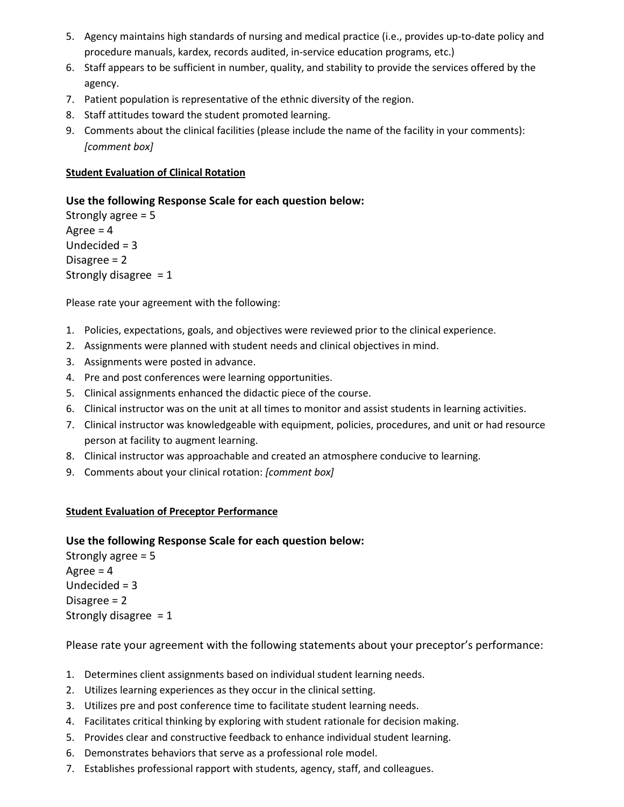- 5. Agency maintains high standards of nursing and medical practice (i.e., provides up-to-date policy and procedure manuals, kardex, records audited, in-service education programs, etc.)
- 6. Staff appears to be sufficient in number, quality, and stability to provide the services offered by the agency.
- 7. Patient population is representative of the ethnic diversity of the region.
- 8. Staff attitudes toward the student promoted learning.
- 9. Comments about the clinical facilities (please include the name of the facility in your comments): *[comment box]*

# **Student Evaluation of Clinical Rotation**

# **Use the following Response Scale for each question below:**

Strongly agree = 5 Agree  $= 4$ Undecided = 3 Disagree = 2 Strongly disagree  $= 1$ 

Please rate your agreement with the following:

- 1. Policies, expectations, goals, and objectives were reviewed prior to the clinical experience.
- 2. Assignments were planned with student needs and clinical objectives in mind.
- 3. Assignments were posted in advance.
- 4. Pre and post conferences were learning opportunities.
- 5. Clinical assignments enhanced the didactic piece of the course.
- 6. Clinical instructor was on the unit at all times to monitor and assist students in learning activities.
- 7. Clinical instructor was knowledgeable with equipment, policies, procedures, and unit or had resource person at facility to augment learning.
- 8. Clinical instructor was approachable and created an atmosphere conducive to learning.
- 9. Comments about your clinical rotation: *[comment box]*

## **Student Evaluation of Preceptor Performance**

# **Use the following Response Scale for each question below:**

Strongly agree = 5 Agree  $= 4$ Undecided  $=$  3 Disagree = 2 Strongly disagree  $= 1$ 

Please rate your agreement with the following statements about your preceptor's performance:

- 1. Determines client assignments based on individual student learning needs.
- 2. Utilizes learning experiences as they occur in the clinical setting.
- 3. Utilizes pre and post conference time to facilitate student learning needs.
- 4. Facilitates critical thinking by exploring with student rationale for decision making.
- 5. Provides clear and constructive feedback to enhance individual student learning.
- 6. Demonstrates behaviors that serve as a professional role model.
- 7. Establishes professional rapport with students, agency, staff, and colleagues.